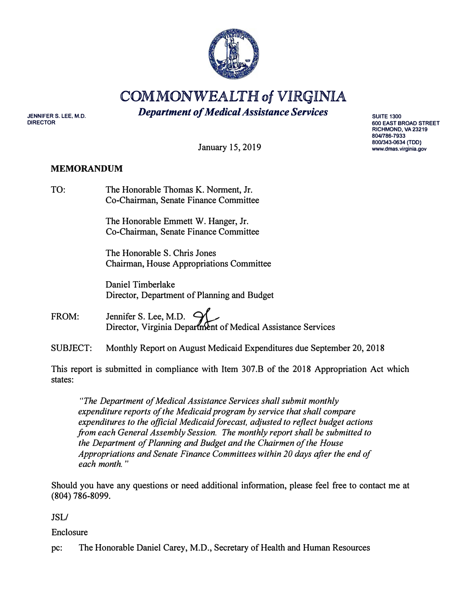

**COMMONWEALTH of VIRGINIA** 

*Department of Medical Assistance Services* 

**JENNIFER S. LEE, M.D. DIRECTOR** 

**SUITE 1300 600 EAST BROAD STREET RICHMOND, VA23219 804/786-7933 800/343-0634 (TDD) www.dmas.Virginia.gov** 

January 15, 2019

## **MEMORANDUM**

| TO: | The Honorable Thomas K. Norment, Jr.  |
|-----|---------------------------------------|
|     | Co-Chairman, Senate Finance Committee |

The Honorable Emmett W. Hanger, Jr. Co-Chairman, Senate Finance Committee

The Honorable S. Chris Jones Chairman, House Appropriations Committee

Daniel Timberlake Director, Department of Planning and Budget

FROM: Jennifer S. Lee, M.D.  $\subset$ Director, Virginia Deparlment of Medical Assistance Services

SUBJECT: Monthly Report on August Medicaid Expenditures due September 20, 2018

This report is submitted in compliance with Item 307.B of the 2018 Appropriation Act which states:

*"The Department of Medical Assistance Services shall submit monthly expenditure reports of the Medicaid program by service that shall compare expenditures to the official Medicaid forecast, adjusted to reflect budget actions from each General Assembly Session. The monthly report shall be submitted to the Department of Planning and Budget and the Chairmen of the House Appropriations and Senate Finance Committees within 20 days after the end of each month.* "

Should you have any questions or need additional information, please feel free to contact me at (804) 786-8099.

JSL/

Enclosure

pc: The Honorable Daniel Carey, M.D., Secretary of Health and Human Resources